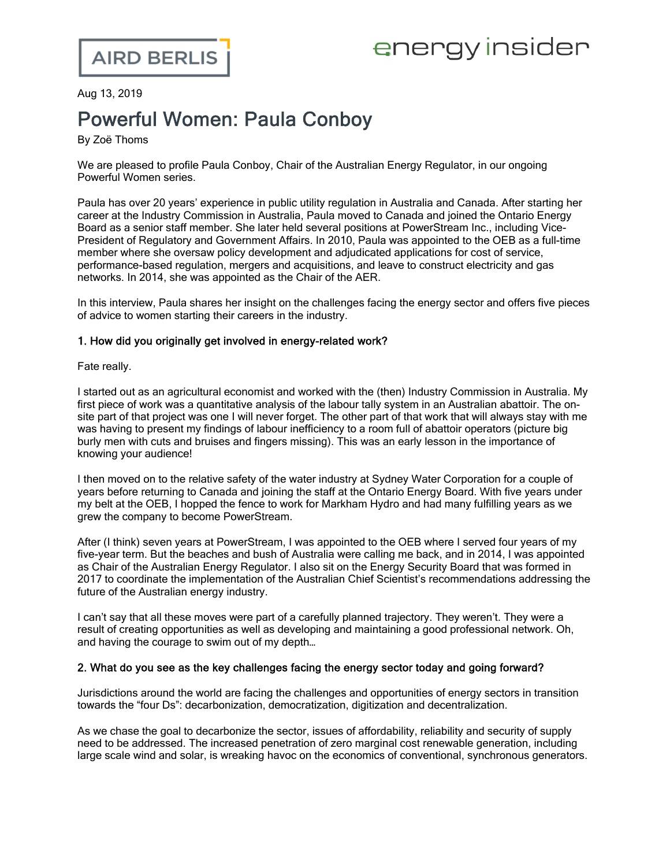# energy insider

Aug 13, 2019

## Powerful Women: Paula Conboy

By Zoë Thoms

We are pleased to profile Paula Conboy, Chair of the [Australian](https://www.aer.gov.au/) Energy Regulator, in our ongoing Powerful Women series.

Paula has over 20 years' experience in public utility regulation in Australia and Canada. After starting her career at the Industry Commission in Australia, Paula moved to Canada and joined the Ontario Energy Board as a senior staff member. She later held several positions at PowerStream Inc., including Vice-President of Regulatory and Government Affairs. In 2010, Paula was appointed to the OEB as a full-time member where she oversaw policy development and adjudicated applications for cost of service, performance-based regulation, mergers and acquisitions, and leave to construct electricity and gas networks. In 2014, she was appointed as the Chair of the AER.

In this interview, Paula shares her insight on the challenges facing the energy sector and offers five pieces of advice to women starting their careers in the industry.

#### 1. How did you originally get involved in energy-related work?

Fate really.

I started out as an agricultural economist and worked with the (then) Industry Commission in Australia. My first piece of work was a quantitative analysis of the labour tally system in an Australian abattoir. The onsite part of that project was one I will never forget. The other part of that work that will always stay with me was having to present my findings of labour inefficiency to a room full of abattoir operators (picture big burly men with cuts and bruises and fingers missing). This was an early lesson in the importance of knowing your audience!

I then moved on to the relative safety of the water industry at Sydney Water Corporation for a couple of years before returning to Canada and joining the staff at the Ontario Energy Board. With five years under my belt at the OEB, I hopped the fence to work for Markham Hydro and had many fulfilling years as we grew the company to become PowerStream.

After (I think) seven years at PowerStream, I was appointed to the OEB where I served four years of my five-year term. But the beaches and bush of Australia were calling me back, and in 2014, I was appointed as Chair of the Australian Energy Regulator. I also sit on the Energy Security Board that was formed in 2017 to coordinate the implementation of the Australian Chief Scientist's recommendations addressing the future of the Australian energy industry.

I can't say that all these moves were part of a carefully planned trajectory. They weren't. They were a result of creating opportunities as well as developing and maintaining a good professional network. Oh, and having the courage to swim out of my depth…

#### 2. What do you see as the key challenges facing the energy sector today and going forward?

Jurisdictions around the world are facing the challenges and opportunities of energy sectors in transition towards the "four Ds": decarbonization, democratization, digitization and decentralization.

As we chase the goal to decarbonize the sector, issues of affordability, reliability and security of supply need to be addressed. The increased penetration of zero marginal cost renewable generation, including large scale wind and solar, is wreaking havoc on the economics of conventional, synchronous generators.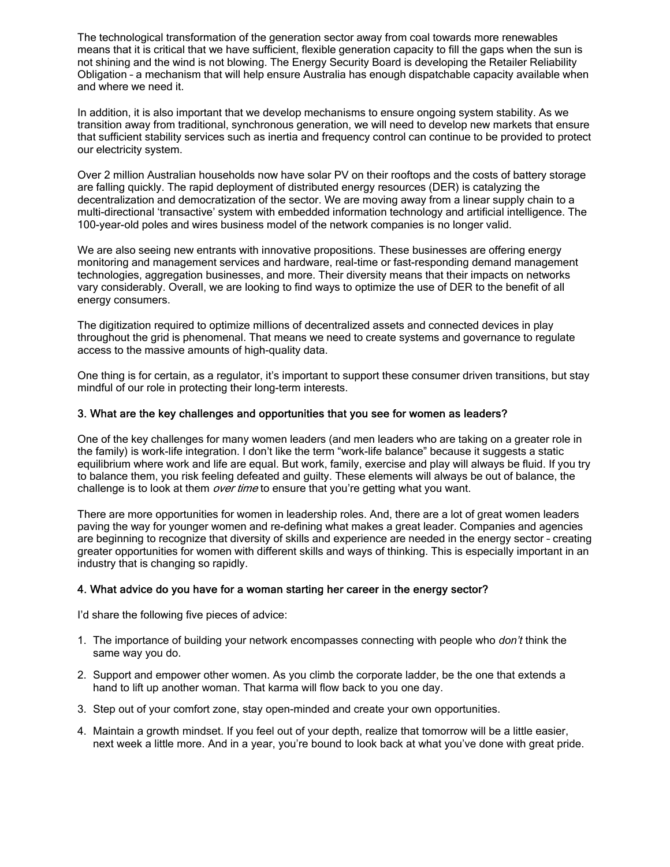The technological transformation of the generation sector away from coal towards more renewables means that it is critical that we have sufficient, flexible generation capacity to fill the gaps when the sun is not shining and the wind is not blowing. The Energy Security Board is developing the Retailer Reliability Obligation – a mechanism that will help ensure Australia has enough dispatchable capacity available when and where we need it.

In addition, it is also important that we develop mechanisms to ensure ongoing system stability. As we transition away from traditional, synchronous generation, we will need to develop new markets that ensure that sufficient stability services such as inertia and frequency control can continue to be provided to protect our electricity system.

Over 2 million Australian households now have solar PV on their rooftops and the costs of battery storage are falling quickly. The rapid deployment of distributed energy resources (DER) is catalyzing the decentralization and democratization of the sector. We are moving away from a linear supply chain to a multi-directional 'transactive' system with embedded information technology and artificial intelligence. The 100-year-old poles and wires business model of the network companies is no longer valid.

We are also seeing new entrants with innovative propositions. These businesses are offering energy monitoring and management services and hardware, real-time or fast-responding demand management technologies, aggregation businesses, and more. Their diversity means that their impacts on networks vary considerably. Overall, we are looking to find ways to optimize the use of DER to the benefit of all energy consumers.

The digitization required to optimize millions of decentralized assets and connected devices in play throughout the grid is phenomenal. That means we need to create systems and governance to regulate access to the massive amounts of high-quality data.

One thing is for certain, as a regulator, it's important to support these consumer driven transitions, but stay mindful of our role in protecting their long-term interests.

#### 3. What are the key challenges and opportunities that you see for women as leaders?

One of the key challenges for many women leaders (and men leaders who are taking on a greater role in the family) is work-life integration. I don't like the term "work-life balance" because it suggests a static equilibrium where work and life are equal. But work, family, exercise and play will always be fluid. If you try to balance them, you risk feeling defeated and guilty. These elements will always be out of balance, the challenge is to look at them over time to ensure that you're getting what you want.

There are more opportunities for women in leadership roles. And, there are a lot of great women leaders paving the way for younger women and re-defining what makes a great leader. Companies and agencies are beginning to recognize that diversity of skills and experience are needed in the energy sector – creating greater opportunities for women with different skills and ways of thinking. This is especially important in an industry that is changing so rapidly.

#### 4. What advice do you have for a woman starting her career in the energy sector?

I'd share the following five pieces of advice:

- 1. The importance of building your network encompasses connecting with people who *don't* think the same way you do.
- 2. Support and empower other women. As you climb the corporate ladder, be the one that extends a hand to lift up another woman. That karma will flow back to you one day.
- 3. Step out of your comfort zone, stay open-minded and create your own opportunities.
- 4. Maintain a growth mindset. If you feel out of your depth, realize that tomorrow will be a little easier, next week a little more. And in a year, you're bound to look back at what you've done with great pride.